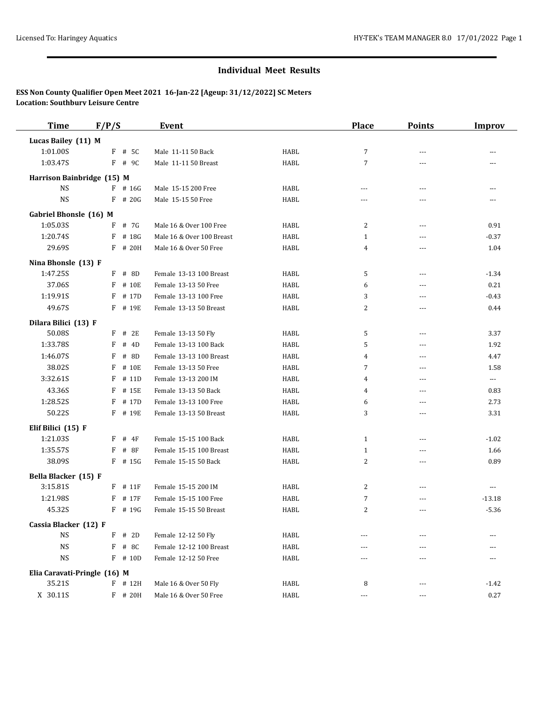| <b>Time</b>                  | F/P/S        | <b>Event</b>              |              | <b>Place</b>   | <b>Points</b>  | <b>Improv</b>            |
|------------------------------|--------------|---------------------------|--------------|----------------|----------------|--------------------------|
| Lucas Bailey (11) M          |              |                           |              |                |                |                          |
| 1:01.00S                     | $F$ # 5C     | Male 11-11 50 Back        | HABL         | 7              | $\overline{a}$ |                          |
| 1:03.47S                     | $F$ # 9C     | Male 11-11 50 Breast      | HABL         | $\overline{7}$ | $\overline{a}$ |                          |
| Harrison Bainbridge (15) M   |              |                           |              |                |                |                          |
| <b>NS</b>                    | $F$ # 16G    | Male 15-15 200 Free       | HABL         | ---            | ---            |                          |
| <b>NS</b>                    | $F$ # 20G    | Male 15-15 50 Free        | HABL         | ---            | ---            | ---                      |
| Gabriel Bhonsle (16) M       |              |                           |              |                |                |                          |
| 1:05.03S                     | $F$ # 7G     | Male 16 & Over 100 Free   | HABL         | 2              | $\overline{a}$ | 0.91                     |
| 1:20.74S                     | $F$ # 18G    | Male 16 & Over 100 Breast | HABL         | $\mathbf{1}$   | ---            | $-0.37$                  |
| 29.69S                       | F # 20H      | Male 16 & Over 50 Free    | HABL         | 4              | $\overline{a}$ | 1.04                     |
| Nina Bhonsle (13) F          |              |                           |              |                |                |                          |
| 1:47.25S                     | F # 8D       | Female 13-13 100 Breast   | HABL         | 5              | $---$          | $-1.34$                  |
| 37.06S                       | # 10E<br>F   | Female 13-13 50 Free      | HABL         | 6              | $\overline{a}$ | 0.21                     |
| 1:19.91S                     | F<br># 17D   | Female 13-13 100 Free     | HABL         | 3              | $- - -$        | $-0.43$                  |
| 49.67S                       | F # 19E      | Female 13-13 50 Breast    | HABL         | 2              | $\overline{a}$ | 0.44                     |
| Dilara Bilici (13) F         |              |                           |              |                |                |                          |
| 50.08S                       | $F$ # 2E     | Female 13-13 50 Fly       | HABL         | 5              | ---            | 3.37                     |
| 1:33.78S                     | F<br># 4D    | Female 13-13 100 Back     | HABL         | 5              | ---            | 1.92                     |
| 1:46.07S                     | # 8D<br>F    | Female 13-13 100 Breast   | HABL         | 4              | $\overline{a}$ | 4.47                     |
| 38.02S                       | F<br># 10E   | Female 13-13 50 Free      | HABL         | 7              | ---            | 1.58                     |
| 3:32.61S                     | $F$ # 11D    | Female 13-13 200 IM       | HABL         | 4              | $  -$          | $\overline{\phantom{a}}$ |
| 43.36S                       | F<br># 15E   | Female 13-13 50 Back      | HABL         | 4              | $\overline{a}$ | 0.83                     |
| 1:28.52S                     | F<br># 17D   | Female 13-13 100 Free     | HABL         | 6              | $\overline{a}$ | 2.73                     |
| 50.22S                       | F # 19E      | Female 13-13 50 Breast    | HABL         | 3              | $\overline{a}$ | 3.31                     |
| Elif Bilici (15) F           |              |                           |              |                |                |                          |
| 1:21.03S                     | $F$ # 4F     | Female 15-15 100 Back     | HABL         | 1              | $\overline{a}$ | $-1.02$                  |
| 1:35.57S                     | F<br># 8F    | Female 15-15 100 Breast   | HABL         | $\mathbf{1}$   | ---            | 1.66                     |
| 38.09S                       | $F$ # 15G    | Female 15-15 50 Back      | HABL         | 2              | $\overline{a}$ | 0.89                     |
| Bella Blacker (15) F         |              |                           |              |                |                |                          |
| 3:15.81S                     | $F$ # 11 $F$ | Female 15-15 200 IM       | HABL         | 2              | $---$          | $\cdots$                 |
| 1:21.98S                     | # 17F<br>F   | Female 15-15 100 Free     | HABL         | 7              | ---            | $-13.18$                 |
| 45.32S                       | F # 19G      | Female 15-15 50 Breast    | HABL         | $\overline{2}$ | $---$          | $-5.36$                  |
| Cassia Blacker (12) F        |              |                           |              |                |                |                          |
| <b>NS</b>                    | $F$ # 2D     | Female 12-12 50 Fly       | HABL         |                |                |                          |
| $_{\rm NS}$                  | F # 8C       | Female 12-12 100 Breast   | HABL         | ---            | ---            |                          |
| $_{\rm NS}$                  | F # 10D      | Female 12-12 50 Free      | HABL         | ---            | $- - -$        |                          |
| Elia Caravati-Pringle (16) M |              |                           |              |                |                |                          |
| 35.21S                       | $F$ # 12H    | Male 16 & Over 50 Fly     | HABL         | 8              | ---            | $-1.42$                  |
| X 30.11S                     | F # 20H      | Male 16 & Over 50 Free    | ${\tt HABL}$ | $\cdots$       | ---            | 0.27                     |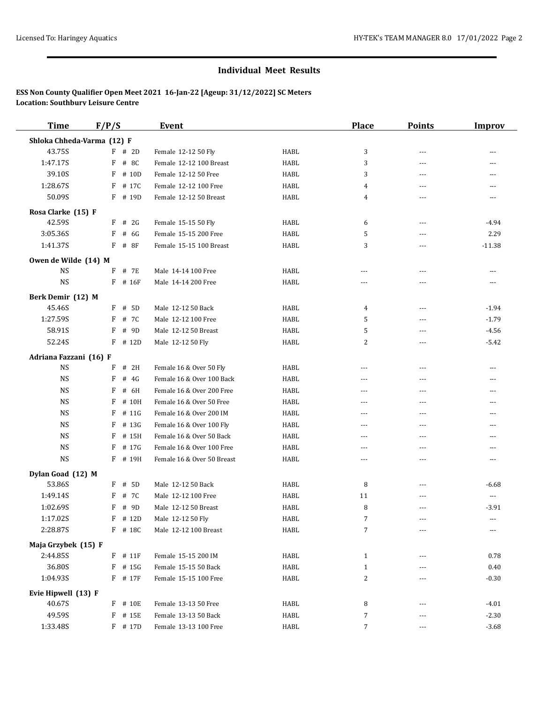| <b>Time</b>                | F/P/S |               | <b>Event</b>               |             | <b>Place</b>     | <b>Points</b> | <b>Improv</b> |
|----------------------------|-------|---------------|----------------------------|-------------|------------------|---------------|---------------|
| Shloka Chheda-Varma (12) F |       |               |                            |             |                  |               |               |
| 43.75S                     |       | $F$ # 2D      | Female 12-12 50 Fly        | <b>HABL</b> | 3                | ---           | ---           |
| 1:47.17S                   | F     | # 8C          | Female 12-12 100 Breast    | HABL        | 3                | ---           | $---$         |
| 39.10S                     | F     | # 10D         | Female 12-12 50 Free       | <b>HABL</b> | 3                | ---           | $---$         |
| 1:28.67S                   | F     | # 17C         | Female 12-12 100 Free      | <b>HABL</b> | $\overline{4}$   | ---           | $---$         |
| 50.09S                     |       | F # 19D       | Female 12-12 50 Breast     | <b>HABL</b> | 4                | $- - -$       | $\cdots$      |
| Rosa Clarke (15) F         |       |               |                            |             |                  |               |               |
| 42.59S                     | F     | # 2G          | Female 15-15 50 Fly        | HABL        | 6                | $---$         | -4.94         |
| 3:05.36S                   | F     | # 6G          | Female 15-15 200 Free      | HABL        | 5                | ---           | 2.29          |
| 1:41.37S                   |       | $F$ # 8F      | Female 15-15 100 Breast    | <b>HABL</b> | 3                | $\cdots$      | $-11.38$      |
| Owen de Wilde (14) M       |       |               |                            |             |                  |               |               |
| <b>NS</b>                  |       | F # 7E        | Male 14-14 100 Free        | HABL        | ---              | ---           | ---           |
| <b>NS</b>                  |       | F # 16F       | Male 14-14 200 Free        | <b>HABL</b> | $---$            | $- - -$       | $- - -$       |
|                            |       |               |                            |             |                  |               |               |
| Berk Demir (12) M          |       |               |                            |             |                  |               |               |
| 45.46S<br>1:27.59S         | F     | # 5D          | Male 12-12 50 Back         | HABL        | 4                | $---$         | $-1.94$       |
|                            | F     | # 7C          | Male 12-12 100 Free        | HABL        | 5                | ---           | $-1.79$       |
| 58.91S                     | F     | # 9D<br># 12D | Male 12-12 50 Breast       | HABL        | 5                | $\frac{1}{2}$ | $-4.56$       |
| 52.24S                     | F     |               | Male 12-12 50 Fly          | HABL        | 2                | ---           | $-5.42$       |
| Adriana Fazzani (16) F     |       |               |                            |             |                  |               |               |
| <b>NS</b>                  | F     | # 2H          | Female 16 & Over 50 Fly    | HABL        | $\cdots$         | ---           | $\cdots$      |
| <b>NS</b>                  | F     | # $4G$        | Female 16 & Over 100 Back  | HABL        | $\cdots$         | ---           | $\cdots$      |
| <b>NS</b>                  | F     | # 6H          | Female 16 & Over 200 Free  | HABL        | $\frac{1}{2}$    | $---$         | $---$         |
| <b>NS</b>                  | F     | # 10H         | Female 16 & Over 50 Free   | HABL        | $\cdots$         | ---           | ---           |
| <b>NS</b>                  | F     | # 11G         | Female 16 & Over 200 IM    | HABL        | $\frac{1}{2}$    | $---$         | $\cdots$      |
| <b>NS</b>                  | F     | # 13G         | Female 16 & Over 100 Fly   | HABL        | $\frac{1}{2}$    | $---$         | $---$         |
| <b>NS</b>                  | F     | # 15H         | Female 16 & Over 50 Back   | HABL        | $\frac{1}{2}$    | $- - -$       | $\cdots$      |
| <b>NS</b>                  | F     | # 17G         | Female 16 & Over 100 Free  | HABL        | $---$            | ---           | $---$         |
| <b>NS</b>                  |       | F # 19H       | Female 16 & Over 50 Breast | HABL        | $\cdots$         | ---           | $\cdots$      |
| Dylan Goad (12) M          |       |               |                            |             |                  |               |               |
| 53.86S                     | F     | # 5D          | Male 12-12 50 Back         | HABL        | 8                | ---           | $-6.68$       |
| 1:49.14S                   | F     | # 7C          | Male 12-12 100 Free        | HABL        | 11               | ---           | $\cdots$      |
| 1:02.69S                   | F     | # 9D          | Male 12-12 50 Breast       | HABL        | 8                | ---           | $-3.91$       |
| 1:17.02S                   |       | $F$ # 12D     | Male 12-12 50 Fly          | HABL        | 7                |               |               |
| 2:28.87S                   |       | $F$ # 18C     | Male 12-12 100 Breast      | HABL        | 7                |               | ---           |
| Maja Grzybek (15) F        |       |               |                            |             |                  |               |               |
| 2:44.85S                   |       | $F$ # 11 $F$  | Female 15-15 200 IM        | HABL        | $\mathbf{1}$     |               | 0.78          |
| 36.80S                     |       | $F$ # 15G     | Female 15-15 50 Back       | HABL        | $\mathbf{1}$     |               | 0.40          |
| 1:04.93S                   |       | F # 17F       | Female 15-15 100 Free      | HABL        | 2                |               | $-0.30$       |
| Evie Hipwell (13) F        |       |               |                            |             |                  |               |               |
| 40.67S                     |       | F # 10E       | Female 13-13 50 Free       | HABL        | 8                |               | $-4.01$       |
| 49.59S                     |       | F # 15E       | Female 13-13 50 Back       | HABL        | $\boldsymbol{7}$ |               | $-2.30$       |
| 1:33.48S                   |       | F # 17D       | Female 13-13 100 Free      | HABL        | $\overline{7}$   | ---           | $-3.68$       |
|                            |       |               |                            |             |                  |               |               |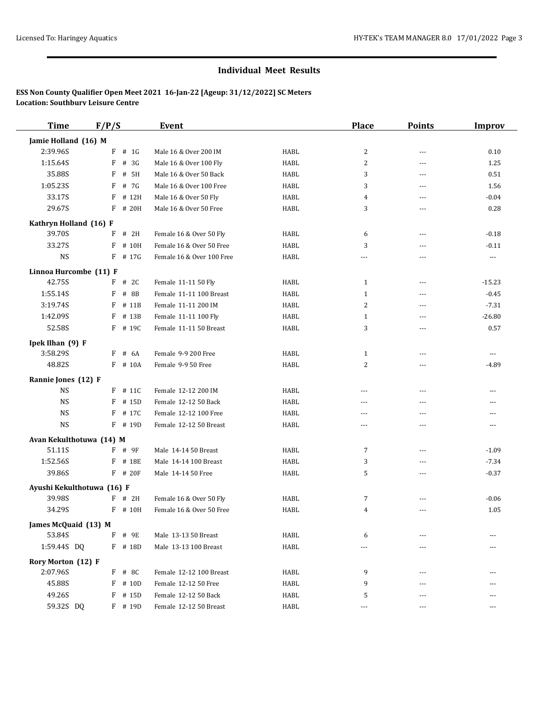| <b>Time</b>                | F/P/S        | <b>Event</b>              |      | <b>Place</b>   | <b>Points</b>  | <b>Improv</b>  |
|----------------------------|--------------|---------------------------|------|----------------|----------------|----------------|
| Jamie Holland (16) M       |              |                           |      |                |                |                |
| 2:39.96S                   | $F$ # 1G     | Male 16 & Over 200 IM     | HABL | 2              | $\overline{a}$ | 0.10           |
| 1:15.64S                   | F<br># 3G    | Male 16 & Over 100 Fly    | HABL | $\overline{c}$ | $\overline{a}$ | 1.25           |
| 35.88S                     | # 5H<br>F    | Male 16 & Over 50 Back    | HABL | 3              | $---$          | 0.51           |
| 1:05.23S                   | F<br># 7G    | Male 16 & Over 100 Free   | HABL | 3              | $---$          | 1.56           |
| 33.17S                     | F # 12H      | Male 16 & Over 50 Fly     | HABL | 4              | $\overline{a}$ | $-0.04$        |
| 29.67S                     | F # 20H      | Male 16 & Over 50 Free    | HABL | 3              | ---            | 0.28           |
| Kathryn Holland (16) F     |              |                           |      |                |                |                |
| 39.70S                     | F<br># 2H    | Female 16 & Over 50 Fly   | HABL | 6              | ---            | $-0.18$        |
| 33.27S                     | $F$ # 10H    | Female 16 & Over 50 Free  | HABL | 3              | $---$          | $-0.11$        |
| <b>NS</b>                  | $F$ # 17G    | Female 16 & Over 100 Free | HABL | $---$          | ---            | $\cdots$       |
| Linnoa Hurcombe (11) F     |              |                           |      |                |                |                |
| 42.75S                     | $F$ # 2C     | Female 11-11 50 Fly       | HABL | $\mathbf{1}$   | ---            | $-15.23$       |
| 1:55.14S                   | F<br># 8B    | Female 11-11 100 Breast   | HABL | $\mathbf{1}$   | ---            | $-0.45$        |
| 3:19.74S                   | F<br># 11B   | Female 11-11 200 IM       | HABL | 2              | ---            | $-7.31$        |
| 1:42.09S                   | F<br># 13B   | Female 11-11 100 Fly      | HABL | $\mathbf{1}$   | ---            | $-26.80$       |
| 52.58S                     | $F$ # 19C    | Female 11-11 50 Breast    | HABL | 3              | $\overline{a}$ | 0.57           |
| Ipek Ilhan (9) F           |              |                           |      |                |                |                |
| 3:58.29S                   | $F$ # 6A     | Female 9-9 200 Free       | HABL | $\mathbf{1}$   | $\overline{a}$ | $\overline{a}$ |
| 48.82S                     | $F$ # 10A    | Female 9-9 50 Free        | HABL | 2              | ---            | $-4.89$        |
| Rannie Jones (12) F        |              |                           |      |                |                |                |
| <b>NS</b>                  | $F$ # 11C    | Female 12-12 200 IM       | HABL | $\sim$ $\sim$  | $\overline{a}$ | $\overline{a}$ |
| <b>NS</b>                  | F<br># 15D   | Female 12-12 50 Back      | HABL | $- - -$        | $\overline{a}$ |                |
| <b>NS</b>                  | F<br># 17C   | Female 12-12 100 Free     | HABL | $\sim$ $\sim$  | ---            |                |
| <b>NS</b>                  | $F$ # 19D    | Female 12-12 50 Breast    | HABL | $---$          | $- - -$        | $- - -$        |
| Avan Kekulthotuwa (14) M   |              |                           |      |                |                |                |
| 51.11S                     | $F$ # 9F     | Male 14-14 50 Breast      | HABL | 7              | ---            | $-1.09$        |
| 1:52.56S                   | F<br># 18E   | Male 14-14 100 Breast     | HABL | 3              | $\overline{a}$ | $-7.34$        |
| 39.86S                     | $F$ # 20 $F$ | Male 14-14 50 Free        | HABL | 5              | ---            | $-0.37$        |
| Ayushi Kekulthotuwa (16) F |              |                           |      |                |                |                |
| 39.98S                     | $F$ # 2H     | Female 16 & Over 50 Fly   | HABL | 7              | $- - -$        | $-0.06$        |
| 34.29S                     | F # 10H      | Female 16 & Over 50 Free  | HABL | 4              | $---$          | 1.05           |
| James McQuaid (13) M       |              |                           |      |                |                |                |
| 53.84S                     | F<br># 9E    | Male 13-13 50 Breast      | HABL | 6              |                |                |
| 1:59.44S DQ                | F # 18D      | Male 13-13 100 Breast     | HABL | $- - -$        | $---$          |                |
| Rory Morton (12) F         |              |                           |      |                |                |                |
| 2:07.96S                   | $F$ # 8C     | Female 12-12 100 Breast   | HABL | 9              |                |                |
| 45.88S                     | # 10D<br>F   | Female 12-12 50 Free      | HABL | 9              | ---            |                |
| 49.26S                     | F<br># 15D   | Female 12-12 50 Back      | HABL | 5              | ---            |                |
| 59.32S DQ                  | F # 19D      | Female 12-12 50 Breast    | HABL | $---$          | ---            | ---            |
|                            |              |                           |      |                |                |                |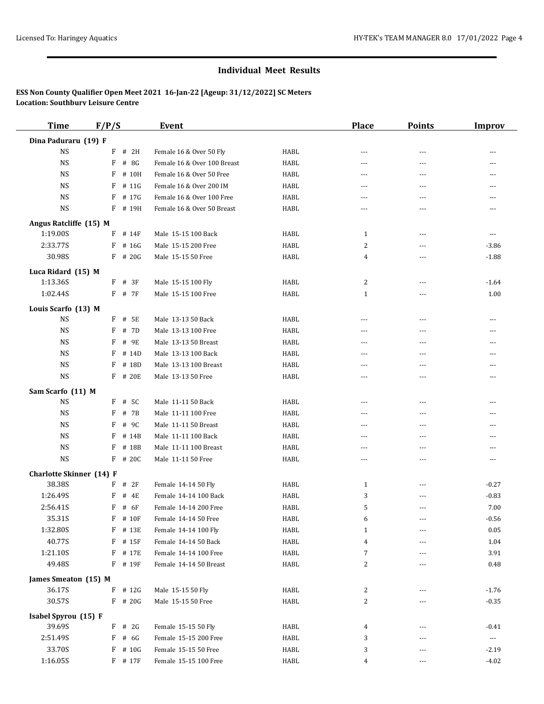| <b>Time</b>                     | F/P/S                    | <b>Event</b>                |             | <b>Place</b>   | <b>Points</b>  | <b>Improv</b>  |
|---------------------------------|--------------------------|-----------------------------|-------------|----------------|----------------|----------------|
| Dina Paduraru (19) F            |                          |                             |             |                |                |                |
| <b>NS</b>                       | F<br># 2H                | Female 16 & Over 50 Fly     | HABL        | ---            | $---$          |                |
| <b>NS</b>                       | # 8G<br>F                | Female 16 & Over 100 Breast | <b>HABL</b> | ---            | $\sim$ $\sim$  | ---            |
| <b>NS</b>                       | F<br># 10H               | Female 16 & Over 50 Free    | <b>HABL</b> | $- - -$        | $- - -$        |                |
| <b>NS</b>                       | F<br># 11G               | Female 16 & Over 200 IM     | <b>HABL</b> | $- - -$        | $- - -$        | $---$          |
| <b>NS</b>                       | F<br># 17G               | Female 16 & Over 100 Free   | <b>HABL</b> | ---            | $---$          | $- - -$        |
| <b>NS</b>                       | # 19H<br>F               | Female 16 & Over 50 Breast  | <b>HABL</b> | $- - -$        | $\overline{a}$ | $\frac{1}{2}$  |
| Angus Ratcliffe (15) M          |                          |                             |             |                |                |                |
| 1:19.00S                        | $F$ # 14F                | Male 15-15 100 Back         | HABL        | 1              | ---            | $\cdots$       |
| 2:33.77S                        | F<br># 16G               | Male 15-15 200 Free         | <b>HABL</b> | 2              | $\overline{a}$ | $-3.86$        |
| 30.98S                          | $F$ # 20G                | Male 15-15 50 Free          | HABL        | 4              | $\overline{a}$ | $-1.88$        |
| Luca Ridard (15) M              |                          |                             |             |                |                |                |
| 1:13.36S                        | # 3F<br>F                | Male 15-15 100 Fly          | HABL        | 2              | ---            | $-1.64$        |
| 1:02.44S                        | $F$ # 7 $F$              | Male 15-15 100 Free         | HABL        | 1              | $\overline{a}$ | 1.00           |
| Louis Scarfo (13) M             |                          |                             |             |                |                |                |
| <b>NS</b>                       | $F$ # 5E                 | Male 13-13 50 Back          | HABL        | $---$          | $---$          | $---$          |
| <b>NS</b>                       | F<br># 7D                | Male 13-13 100 Free         | HABL        | ---            | ---            |                |
| <b>NS</b>                       | # 9E<br>F                | Male 13-13 50 Breast        | HABL        | ---            | ---            | ---            |
| <b>NS</b>                       | F<br># 14D               | Male 13-13 100 Back         | HABL        | ---            | $\overline{a}$ | $\overline{a}$ |
| <b>NS</b>                       | F<br># 18D               | Male 13-13 100 Breast       | HABL        | ---            | $- - -$        | $---$          |
| <b>NS</b>                       | F<br># 20E               | Male 13-13 50 Free          | HABL        | $\overline{a}$ | $\sim$ $\sim$  | $---$          |
| Sam Scarfo (11) M               |                          |                             |             |                |                |                |
| <b>NS</b>                       | F<br># 5C                | Male 11-11 50 Back          | HABL        | $- - -$        | $\sim$ $\sim$  | $---$          |
| <b>NS</b>                       | # 7B<br>F                | Male 11-11 100 Free         | <b>HABL</b> | $- - -$        | $---$          | $---$          |
| <b>NS</b>                       | # 9C<br>F                | Male 11-11 50 Breast        | HABL        | $\overline{a}$ | $\overline{a}$ | $-$            |
| <b>NS</b>                       | F<br># 14B               | Male 11-11 100 Back         | HABL        | ---            | $\overline{a}$ |                |
| <b>NS</b>                       | F<br># 18B               | Male 11-11 100 Breast       | <b>HABL</b> | $---$          | $- - -$        |                |
| <b>NS</b>                       | F<br># 20C               | Male 11-11 50 Free          | <b>HABL</b> | ---            | ---            | $---$          |
| <b>Charlotte Skinner</b> (14) F |                          |                             |             |                |                |                |
| 38.38S                          | F<br># 2F                | Female 14-14 50 Fly         | HABL        | $\mathbf{1}$   | $---$          | $-0.27$        |
| 1:26.49S                        | F<br># 4E                | Female 14-14 100 Back       | HABL        | 3              | ---            | $-0.83$        |
| 2:56.41S                        | # 6F<br>F                | Female 14-14 200 Free       | <b>HABL</b> | 5              | $- - -$        | 7.00           |
| 35.31S                          | $F$ # 10 $F$             | Female 14-14 50 Free        | HABL        | 6              |                | $-0.56$        |
| 1:32.80S                        | F<br># 13E               | Female 14-14 100 Fly        | HABL        | 1              |                | 0.05           |
| 40.77S                          | F<br># 15F               | Female 14-14 50 Back        | HABL        | 4              | ---            | 1.04           |
| 1:21.10S                        | F<br># 17E               | Female 14-14 100 Free       | HABL        | 7              |                | 3.91           |
| 49.48S                          | F # 19F                  | Female 14-14 50 Breast      | HABL        | 2              | $---$          | 0.48           |
| James Smeaton (15) M            |                          |                             |             |                |                |                |
| 36.17S                          | # 12G<br>F               | Male 15-15 50 Fly           | HABL        | 2              | $---$          | $-1.76$        |
| 30.57S                          | $F$ # 20G                | Male 15-15 50 Free          | <b>HABL</b> | 2              | ---            | $-0.35$        |
| Isabel Spyrou (15) F            |                          |                             |             |                |                |                |
| 39.69S                          | # 2G<br>F                | Female 15-15 50 Fly         | HABL        | 4              | ---            | $-0.41$        |
| 2:51.49S                        | F<br># 6G                | Female 15-15 200 Free       | HABL        | 3              |                | $\cdots$       |
| 33.70S                          | # 10G<br>$\, {\bf F} \,$ | Female 15-15 50 Free        | HABL        | 3              | ---            | $-2.19$        |
| 1:16.05S                        | $F$ # 17 $F$             | Female 15-15 100 Free       | HABL        | 4              | ---            | $-4.02$        |
|                                 |                          |                             |             |                |                |                |